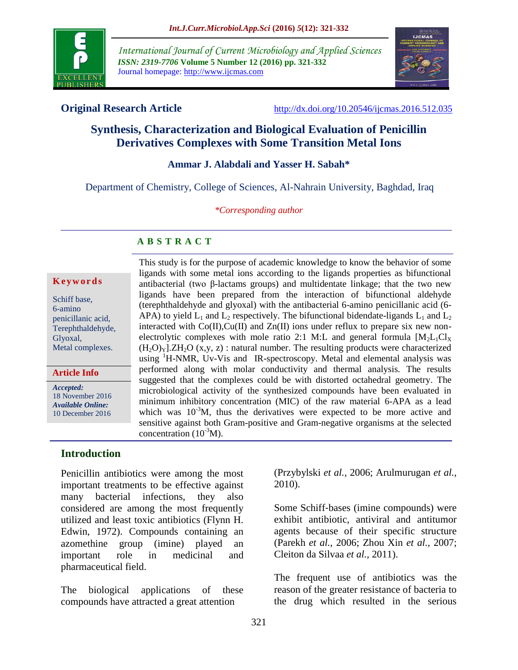

*International Journal of Current Microbiology and Applied Sciences ISSN: 2319-7706* **Volume 5 Number 12 (2016) pp. 321-332** Journal homepage: http://www.ijcmas.com



**Original Research Article** <http://dx.doi.org/10.20546/ijcmas.2016.512.035>

# **Synthesis, Characterization and Biological Evaluation of Penicillin Derivatives Complexes with Some Transition Metal Ions**

#### **Ammar J. Alabdali and Yasser H. Sabah\***

Department of Chemistry, College of Sciences, Al-Nahrain University, Baghdad, Iraq

*\*Corresponding author*

#### **A B S T R A C T**

#### **K e y w o r d s**

Schiff base, 6-amino penicillanic acid, Terephthaldehyde, Glyoxal, Metal complexes.

**Article Info**

*Accepted:*  18 November 2016 *Available Online:* 10 December 2016

#### **Introduction**

Penicillin antibiotics were among the most important treatments to be effective against many bacterial infections, they also considered are among the most frequently utilized and least toxic antibiotics (Flynn H. Edwin, 1972). Compounds containing an azomethine group (imine) played an important role in medicinal and pharmaceutical field.

The biological applications of these compounds have attracted a great attention

This study is for the purpose of academic knowledge to know the behavior of some ligands with some metal ions according to the ligands properties as bifunctional antibacterial (two β-lactams groups) and multidentate linkage; that the two new ligands have been prepared from the interaction of bifunctional aldehyde (terephthaldehyde and glyoxal) with the antibacterial 6-amino penicillanic acid (6- APA) to yield  $L_1$  and  $L_2$  respectively. The bifunctional bidendate-ligands  $L_1$  and  $L_2$ interacted with  $Co(II), Cu(II)$  and  $Zn(II)$  ions under reflux to prepare six new nonelectrolytic complexes with mole ratio 2:1 M:L and general formula  $[M<sub>2</sub>L<sub>1</sub>Cl<sub>x</sub>$  $(H<sub>2</sub>O)<sub>Y</sub>$ ].ZH<sub>2</sub>O (x,y, z) : natural number. The resulting products were characterized using <sup>1</sup>H-NMR, Uv-Vis and IR-spectroscopy. Metal and elemental analysis was performed along with molar conductivity and thermal analysis. The results suggested that the complexes could be with distorted octahedral geometry. The microbiological activity of the synthesized compounds have been evaluated in minimum inhibitory concentration (MIC) of the raw material 6-APA as a lead which was  $10^{-3}$ M, thus the derivatives were expected to be more active and sensitive against both Gram-positive and Gram-negative organisms at the selected concentration  $(10^{-3}M)$ .

> (Przybylski *et al.,* 2006; Arulmurugan *et al.,* 2010).

> Some Schiff‐bases (imine compounds) were exhibit antibiotic, antiviral and antitumor agents because of their specific structure (Parekh *et al.*, 2006; Zhou Xin *et al.,* 2007; Cleiton da Silvaa *et al.,* 2011).

> The frequent use of antibiotics was the reason of the greater resistance of bacteria to the drug which resulted in the serious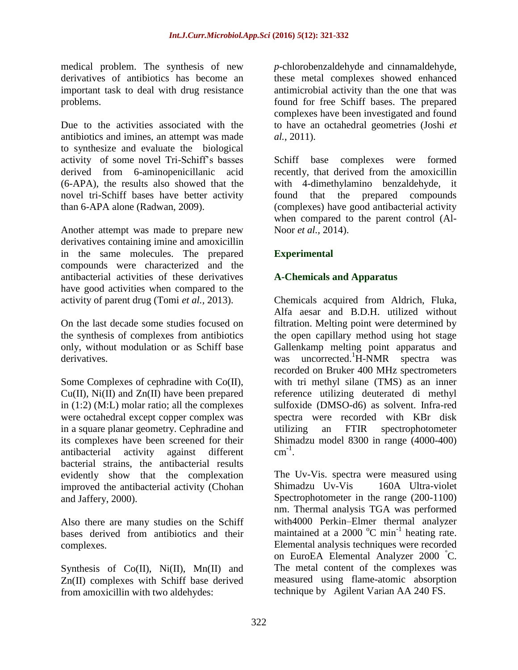medical problem. The synthesis of new derivatives of antibiotics has become an important task to deal with drug resistance problems.

Due to the activities associated with the antibiotics and imines, an attempt was made to synthesize and evaluate the biological activity of some novel Tri-Schiff's basses derived from 6-aminopenicillanic acid (6-APA), the results also showed that the novel tri-Schiff bases have better activity than 6-APA alone (Radwan, 2009).

Another attempt was made to prepare new derivatives containing imine and amoxicillin in the same molecules. The prepared compounds were characterized and the antibacterial activities of these derivatives have good activities when compared to the activity of parent drug (Tomi *et al.,* 2013).

On the last decade some studies focused on the synthesis of complexes from antibiotics only, without modulation or as Schiff base derivatives.

Some Complexes of cephradine with Co(II), Cu(II), Ni(II) and Zn(II) have been prepared in (1:2) (M:L) molar ratio; all the complexes were octahedral except copper complex was in a square planar geometry. Cephradine and its complexes have been screened for their antibacterial activity against different bacterial strains, the antibacterial results evidently show that the complexation improved the antibacterial activity (Chohan and Jaffery, 2000).

Also there are many studies on the Schiff bases derived from antibiotics and their complexes.

Synthesis of Co(II), Ni(II), Mn(II) and Zn(II) complexes with Schiff base derived from amoxicillin with two aldehydes:

*p*-chlorobenzaldehyde and cinnamaldehyde, these metal complexes showed enhanced antimicrobial activity than the one that was found for free Schiff bases. The prepared complexes have been investigated and found to have an octahedral geometries (Joshi *et al.*, 2011).

Schiff base complexes were formed recently, that derived from the amoxicillin with 4-dimethylamino benzaldehyde, it found that the prepared compounds (complexes) have good antibacterial activity when compared to the parent control (Al-Noor *et al.,* 2014).

### **Experimental**

#### **A-Chemicals and Apparatus**

Chemicals acquired from Aldrich, Fluka, Alfa aesar and B.D.H. utilized without filtration. Melting point were determined by the open capillary method using hot stage Gallenkamp melting point apparatus and was uncorrected. $^1$ H-NMR spectra was recorded on Bruker 400 MHz spectrometers with tri methyl silane (TMS) as an inner reference utilizing deuterated di methyl sulfoxide (DMSO-d6) as solvent. Infra-red spectra were recorded with KBr disk utilizing an FTIR spectrophotometer Shimadzu model 8300 in range (4000-400)  $cm^{-1}$ .

The Uv-Vis. spectra were measured using Shimadzu Uv-Vis 160A Ultra-violet Spectrophotometer in the range (200-1100) nm. Thermal analysis TGA was performed with4000 Perkin–Elmer thermal analyzer maintained at a 2000  $^{\circ}$ C min<sup>-1</sup> heating rate. Elemental analysis techniques were recorded on EuroEA Elemental Analyzer 2000 <sup>º</sup>C. The metal content of the complexes was measured using flame-atomic absorption technique by Agilent Varian AA 240 FS.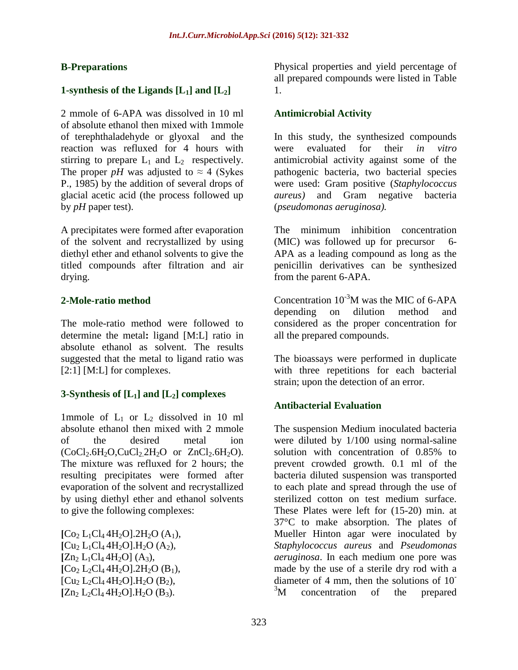### **B-Preparations**

### **1-synthesis of the Ligands [L1] and [L2]**

2 mmole of 6-APA was dissolved in 10 ml of absolute ethanol then mixed with 1mmole of terephthaladehyde or glyoxal and the reaction was refluxed for 4 hours with stirring to prepare  $L_1$  and  $L_2$  respectively. The proper *pH* was adjusted to  $\approx$  4 (Sykes) P., 1985) by the addition of several drops of glacial acetic acid (the process followed up by *pH* paper test).

A precipitates were formed after evaporation of the solvent and recrystallized by using diethyl ether and ethanol solvents to give the titled compounds after filtration and air drying.

### **2-Mole-ratio method**

The mole-ratio method were followed to determine the metal**:** ligand [M:L] ratio in absolute ethanol as solvent. The results suggested that the metal to ligand ratio was [2:1] [M:L] for complexes.

# **3-Synthesis of [L1] and [L2] complexes**

1mmole of  $L_1$  or  $L_2$  dissolved in 10 ml absolute ethanol then mixed with 2 mmole of the desired metal ion  $(CoCl<sub>2</sub>.6H<sub>2</sub>O, CuCl<sub>2</sub>.2H<sub>2</sub>O$  or  $ZnCl<sub>2</sub>.6H<sub>2</sub>O$ . The mixture was refluxed for 2 hours; the resulting precipitates were formed after evaporation of the solvent and recrystallized by using diethyl ether and ethanol solvents to give the following complexes:

 $[Co<sub>2</sub> L<sub>1</sub>Cl<sub>4</sub> 4H<sub>2</sub>O]<sub>2</sub>H<sub>2</sub>O (A<sub>1</sub>),$  $\left[ Cu_2 L_1Cl_4 4H_2O \right]$ .  $H_2O (A_2)$ ,  $[Zn_2 L_1Cl_4 4H_2O](A_3),$  $[Co<sub>2</sub> L<sub>2</sub>Cl<sub>4</sub> 4H<sub>2</sub>O]$ .2H<sub>2</sub>O (B<sub>1</sub>),  $[Cu<sub>2</sub> L<sub>2</sub>Cl<sub>4</sub> 4H<sub>2</sub>O]$ .  $H<sub>2</sub>O$  (B<sub>2</sub>),  $[Zn_2 L_2Cl_4 4H_2O].H_2O (B_3).$ 

Physical properties and yield percentage of all prepared compounds were listed in Table 1.

#### **Antimicrobial Activity**

In this study, the synthesized compounds were evaluated for their *in vitro* antimicrobial activity against some of the pathogenic bacteria, two bacterial species were used: Gram positive (*Staphylococcus aureus)* and Gram negative bacteria (*pseudomonas aeruginosa).*

The minimum inhibition concentration (MIC) was followed up for precursor 6- APA as a leading compound as long as the penicillin derivatives can be synthesized from the parent 6-APA.

Concentration  $10^{-3}$ M was the MIC of 6-APA depending on dilution method and considered as the proper concentration for all the prepared compounds.

The bioassays were performed in duplicate with three repetitions for each bacterial strain; upon the detection of an error.

# **Antibacterial Evaluation**

The suspension Medium inoculated bacteria were diluted by 1/100 using normal-saline solution with concentration of 0.85% to prevent crowded growth. 0.1 ml of the bacteria diluted suspension was transported to each plate and spread through the use of sterilized cotton on test medium surface. These Plates were left for (15-20) min. at 37°C to make absorption. The plates of Mueller Hinton agar were inoculated by *Staphylococcus aureus* and *Pseudomonas aeruginosa*. In each medium one pore was made by the use of a sterile dry rod with a diameter of 4 mm, then the solutions of 10- <sup>3</sup>M concentration of the prepared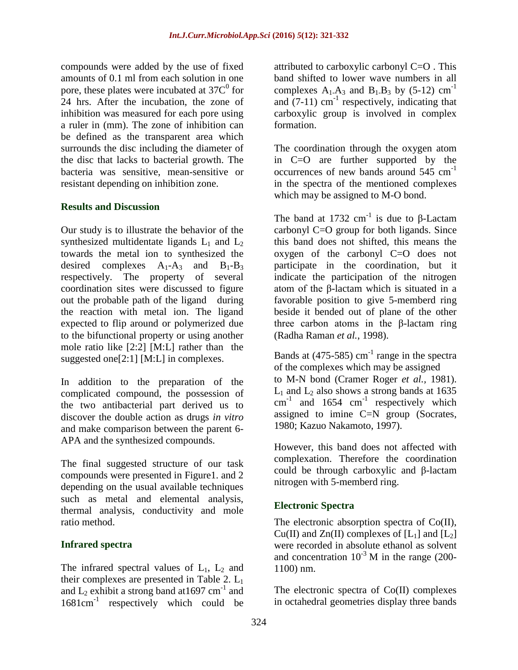compounds were added by the use of fixed amounts of 0.1 ml from each solution in one pore, these plates were incubated at  $37C<sup>0</sup>$  for 24 hrs. After the incubation, the zone of inhibition was measured for each pore using a ruler in (mm). The zone of inhibition can be defined as the transparent area which surrounds the disc including the diameter of the disc that lacks to bacterial growth. The bacteria was sensitive, mean-sensitive or resistant depending on inhibition zone.

#### **Results and Discussion**

Our study is to illustrate the behavior of the synthesized multidentate ligands  $L_1$  and  $L_2$ towards the metal ion to synthesized the desired complexes  $A_1 - A_3$  and  $B_1 - B_3$ respectively. The property of several coordination sites were discussed to figure out the probable path of the ligand during the reaction with metal ion. The ligand expected to flip around or polymerized due to the bifunctional property or using another mole ratio like [2:2] [M:L] rather than the suggested one[2:1] [M:L] in complexes.

In addition to the preparation of the complicated compound, the possession of the two antibacterial part derived us to discover the double action as drugs *in vitro* and make comparison between the parent 6- APA and the synthesized compounds.

The final suggested structure of our task compounds were presented in Figure1. and 2 depending on the usual available techniques such as metal and elemental analysis, thermal analysis, conductivity and mole ratio method.

#### **Infrared spectra**

The infrared spectral values of  $L_1$ ,  $L_2$  and their complexes are presented in Table 2.  $L_1$ and  $L_2$  exhibit a strong band at 1697 cm<sup>-1</sup> and 1681cm<sup>-1</sup> respectively which could be

attributed to carboxylic carbonyl C=O . This band shifted to lower wave numbers in all complexes  $A_1 \cdot A_3$  and  $B_1 \cdot B_3$  by (5-12) cm<sup>-1</sup> and  $(7-11)$  cm<sup>-1</sup> respectively, indicating that carboxylic group is involved in complex formation.

The coordination through the oxygen atom in C=O are further supported by the occurrences of new bands around  $545 \text{ cm}^{-1}$ in the spectra of the mentioned complexes which may be assigned to M-O bond.

The band at 1732 cm<sup>-1</sup> is due to  $\beta$ -Lactam carbonyl C=O group for both ligands. Since this band does not shifted, this means the oxygen of the carbonyl C=O does not participate in the coordination, but it indicate the participation of the nitrogen atom of the β-lactam which is situated in a favorable position to give 5-memberd ring beside it bended out of plane of the other three carbon atoms in the β-lactam ring (Radha Raman *et al.*, 1998).

Bands at  $(475-585)$  cm<sup>-1</sup> range in the spectra of the complexes which may be assigned to M-N bond (Cramer Roger *et al.,* 1981).  $L_1$  and  $L_2$  also shows a strong bands at 1635  $cm^{-1}$  and 1654  $cm^{-1}$  respectively which assigned to imine C=N group (Socrates, 1980; Kazuo Nakamoto, 1997).

However, this band does not affected with complexation. Therefore the coordination could be through carboxylic and β-lactam nitrogen with 5-memberd ring.

# **Electronic Spectra**

The electronic absorption spectra of Co(II), Cu(II) and Zn(II) complexes of  $[L_1]$  and  $[L_2]$ were recorded in absolute ethanol as solvent and concentration  $10^{-3}$  M in the range (200-1100) nm.

The electronic spectra of Co(II) complexes in octahedral geometries display three bands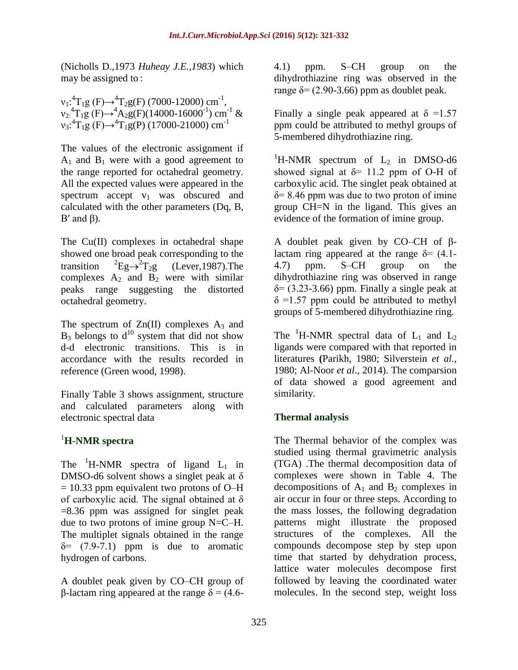(Nicholls D.,1973 *Huheay J.E.,1983*) which may be assigned to :

 $v_1: {}^4T_1g (F) \rightarrow {}^4T_2g (F)$  (7000-12000) cm<sup>-1</sup>,  $v_2$ <sup>4</sup>T<sub>1</sub>g (F) $\rightarrow$ <sup>4</sup>A<sub>2</sub>g(F)(14000-16000<sup>-1</sup>) cm<sup>-1</sup> &  $v_3$ :<sup>4</sup>T<sub>1</sub>g (F) $\rightarrow$ <sup>4</sup>T<sub>1</sub>g(P) (17000-21000) cm<sup>-1</sup>

The values of the electronic assignment if  $A_1$  and  $B_1$  were with a good agreement to the range reported for octahedral geometry. All the expected values were appeared in the spectrum accept  $v_1$  was obscured and calculated with the other parameters (Dq, B, B' and  $β$ ).

The Cu(II) complexes in octahedral shape showed one broad peak corresponding to the transition  $Eg \rightarrow ^2T_2g$  (Lever, 1987). The complexes  $A_2$  and  $B_2$  were with similar peaks range suggesting the distorted octahedral geometry.

The spectrum of  $Zn(II)$  complexes  $A_3$  and  $B_3$  belongs to  $d^{10}$  system that did not show d-d electronic transitions. This is in accordance with the results recorded in reference (Green wood, 1998).

Finally Table 3 shows assignment, structure and calculated parameters along with electronic spectral data

# <sup>1</sup>**H-NMR spectra**

The <sup>1</sup>H-NMR spectra of ligand  $L_1$  in DMSO-d6 solvent shows a singlet peak at  $\delta$  $= 10.33$  ppm equivalent two protons of O–H of carboxylic acid. The signal obtained at δ =8.36 ppm was assigned for singlet peak due to two protons of imine group N=C–H. The multiplet signals obtained in the range  $\delta$ = (7.9-7.1) ppm is due to aromatic hydrogen of carbons.

A doublet peak given by CO–CH group of β-lactam ring appeared at the range  $δ = (4.6-$  4.1) ppm. S–CH group on the dihydrothiazine ring was observed in the range  $\delta$  = (2.90-3.66) ppm as doublet peak.

Finally a single peak appeared at  $\delta = 1.57$ ppm could be attributed to methyl groups of 5-membered dihydrothiazine ring.

<sup>1</sup>H-NMR spectrum of  $L_2$  in DMSO-d6 showed signal at  $\delta$ = 11.2 ppm of O-H of carboxylic acid. The singlet peak obtained at  $\delta$ = 8.46 ppm was due to two proton of imine group CH=N in the ligand. This gives an evidence of the formation of imine group.

A doublet peak given by CO–CH of βlactam ring appeared at the range  $\delta$ = (4.1-4.7) ppm. S–CH group on the dihydrothiazine ring was observed in range  $\delta$ = (3.23-3.66) ppm. Finally a single peak at  $\delta$  =1.57 ppm could be attributed to methyl groups of 5-membered dihydrothiazine ring.

The <sup>1</sup>H-NMR spectral data of  $L_1$  and  $L_2$ ligands were compared with that reported in literatures **(**Parikh, 1980; Silverstein *et al.*, 1980; Al-Noor *et al*., 2014). The comparsion of data showed a good agreement and similarity.

# **Thermal analysis**

The Thermal behavior of the complex was studied using thermal gravimetric analysis (TGA) .The thermal decomposition data of complexes were shown in Table 4. The decompositions of  $A_1$  and  $B_2$  complexes in air occur in four or three steps. According to the mass losses, the following degradation patterns might illustrate the proposed structures of the complexes. All the compounds decompose step by step upon time that started by dehydration process, lattice water molecules decompose first followed by leaving the coordinated water molecules. In the second step, weight loss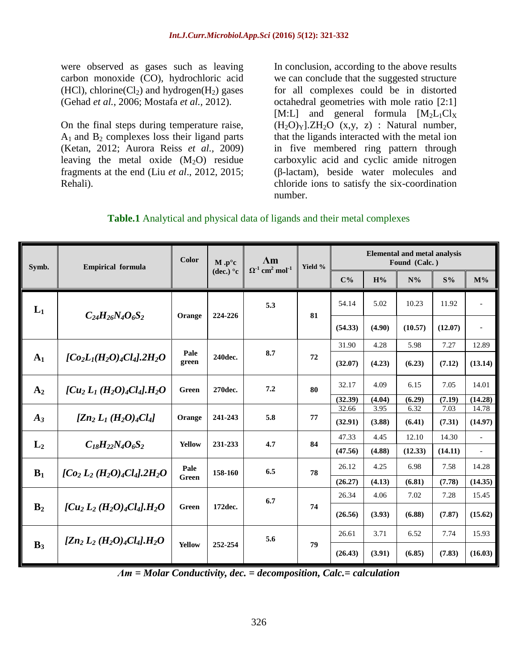were observed as gases such as leaving carbon monoxide (CO), hydrochloric acid (HCl), chlorine( $Cl<sub>2</sub>$ ) and hydrogen( $H<sub>2</sub>$ ) gases (Gehad *et al.*, 2006; Mostafa *et al.,* 2012).

On the final steps during temperature raise,  $A_1$  and  $B_2$  complexes loss their ligand parts (Ketan, 2012; Aurora Reiss *et al.,* 2009) leaving the metal oxide  $(M_2O)$  residue fragments at the end (Liu *et al*., 2012, 2015; Rehali).

In conclusion, according to the above results we can conclude that the suggested structure for all complexes could be in distorted octahedral geometries with mole ratio [2:1] [M:L] and general formula  $[M_2L_1Cl_X]$  $(H_2O)_Y$ ].ZH<sub>2</sub>O  $(x,y, z)$  : Natural number, that the ligands interacted with the metal ion in five membered ring pattern through carboxylic acid and cyclic amide nitrogen (β-lactam), beside water molecules and chloride ions to satisfy the six-coordination number.

|  |  |  |  | <b>Table.1</b> Analytical and physical data of ligands and their metal complexes |  |
|--|--|--|--|----------------------------------------------------------------------------------|--|
|--|--|--|--|----------------------------------------------------------------------------------|--|

| Symb.          | <b>Empirical formula</b>                      | <b>Color</b>  | $M.p^{\circ}c$   | $\Lambda$ m<br>$\Omega$ <sup>-1</sup> cm <sup>2</sup> mol <sup>-1</sup> | Yield % | <b>Elemental and metal analysis</b><br>Found (Calc.) |                |                |                |                          |
|----------------|-----------------------------------------------|---------------|------------------|-------------------------------------------------------------------------|---------|------------------------------------------------------|----------------|----------------|----------------|--------------------------|
|                |                                               |               | (dec.) $\circ$ c |                                                                         |         | $C\%$                                                | H%             | $N\%$          | $S\%$          | $M\%$                    |
| $L_1$          | $C_{24}H_{26}N_{4}O_{6}S_{2}$                 | Orange        |                  | 5.3                                                                     | 81      | 54.14                                                | 5.02           | 10.23          | 11.92          | $\overline{\phantom{a}}$ |
|                |                                               |               | 224-226          |                                                                         |         | (54.33)                                              | (4.90)         | (10.57)        | (12.07)        | $\overline{\phantom{a}}$ |
|                |                                               | Pale          |                  | 8.7                                                                     |         | 31.90                                                | 4.28           | 5.98           | 7.27           | 12.89                    |
| A <sub>1</sub> | $[Co_2L_1(H_2O)_4Cl_4]$ , $2H_2O$             | green         | 240dec.          |                                                                         | 72      | (32.07)                                              | (4.23)         | (6.23)         | (7.12)         | (13.14)                  |
| A <sub>2</sub> | $\int Cu_2 L_1 (H_2O)_4 Cl_4$ , $H_2O$        | Green         | 270dec.          | 7.2                                                                     | 80      | 32.17                                                | 4.09           | 6.15           | 7.05           | 14.01                    |
|                |                                               |               |                  |                                                                         |         | (32.39)<br>32.66                                     | (4.04)<br>3.95 | (6.29)<br>6.32 | (7.19)<br>7.03 | (14.28)<br>14.78         |
| $A_3$          | $[Zn_2 L_1 (H_2O)_4 Cl_4]$                    | Orange        | 241-243          | 5.8                                                                     | 77      | (32.91)                                              | (3.88)         | (6.41)         | (7.31)         | (14.97)                  |
|                |                                               | Yellow        | 231-233          | 4.7                                                                     | 84      | 47.33                                                | 4.45           | 12.10          | 14.30          | $\bar{a}$                |
| $L_2$          | $C_{18}H_{22}N_4O_6S_2$                       |               |                  |                                                                         |         | (47.56)                                              | (4.88)         | (12.33)        | (14.11)        | $\overline{\phantom{a}}$ |
| $B_1$          | $[Co_2 L_2 (H_2O)_4 Cl_4]$ .2H <sub>2</sub> O | Pale          | 158-160          | 6.5                                                                     | 78      | 26.12                                                | 4.25           | 6.98           | 7.58           | 14.28                    |
|                |                                               | <b>Green</b>  |                  |                                                                         |         | (26.27)                                              | (4.13)         | (6.81)         | (7.78)         | (14.35)                  |
|                | $[Cu_2 L_2(H_2O)_4Cl_4].H_2O$                 | Green         | 172dec.          | 6.7                                                                     |         | 26.34                                                | 4.06           | 7.02           | 7.28           | 15.45                    |
| B <sub>2</sub> |                                               |               |                  |                                                                         | 74      | (26.56)                                              | (3.93)         | (6.88)         | (7.87)         | (15.62)                  |
|                | $[Z_n, L_2(H_2O)_4Cl_4].H_2O$                 |               | 252-254          | 5.6                                                                     |         | 26.61                                                | 3.71           | 6.52           | 7.74           | 15.93                    |
| $B_3$          |                                               | <b>Yellow</b> |                  |                                                                         | 79      | (26.43)                                              | (3.91)         | (6.85)         | (7.83)         | (16.03)                  |

*Λm = Molar Conductivity, dec. = decomposition, Calc.= calculation*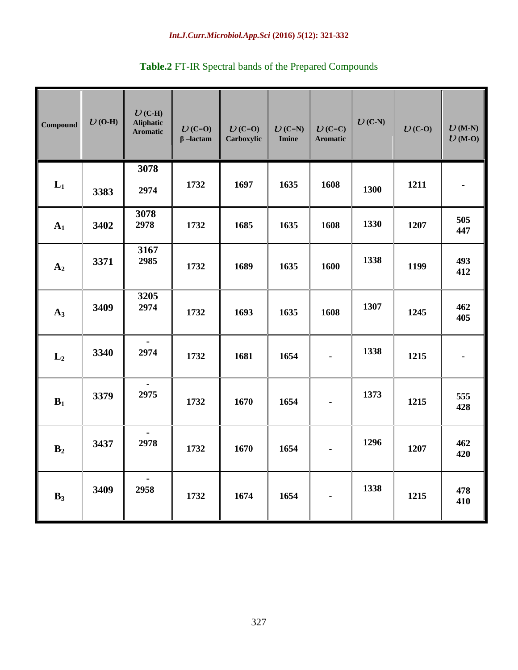#### *Int.J.Curr.Microbiol.App.Sci* **(2016)** *5***(12): 321-332**

| <b>Compound</b> | $U$ (O-H) | $U$ (C-H)<br><b>Aliphatic</b><br><b>Aromatic</b> | $U$ (C=O)<br>$\beta$ -lactam | $U$ (C=O)<br>Carboxylic | $U$ (C=N)<br><b>Imine</b> | $U(C=C)$<br><b>Aromatic</b> | $U(C-N)$ | $U(C-0)$ | $U(M-N)$<br>$U(M-0)$ |
|-----------------|-----------|--------------------------------------------------|------------------------------|-------------------------|---------------------------|-----------------------------|----------|----------|----------------------|
| $L_1$           | 3383      | 3078<br>2974                                     | 1732                         | 1697                    | 1635                      | 1608                        | 1300     | 1211     | $\blacksquare$       |
| A <sub>1</sub>  | 3402      | 3078<br>2978                                     | 1732                         | 1685                    | 1635                      | 1608                        | 1330     | 1207     | 505<br>447           |
| A <sub>2</sub>  | 3371      | 3167<br>2985                                     | 1732                         | 1689                    | 1635                      | 1600                        | 1338     | 1199     | 493<br>412           |
| $A_3$           | 3409      | 3205<br>2974                                     | 1732                         | 1693                    | 1635                      | 1608                        | 1307     | 1245     | 462<br>405           |
| $L_2$           | 3340      | 2974                                             | 1732                         | 1681                    | 1654                      |                             | 1338     | 1215     |                      |
| $B_1$           | 3379      | 2975                                             | 1732                         | 1670                    | 1654                      |                             | 1373     | 1215     | 555<br>428           |
| B <sub>2</sub>  | 3437      | 2978                                             | 1732                         | 1670                    | 1654                      |                             | 1296     | 1207     | 462<br>420           |
| $B_3$           | 3409      | 2958                                             | 1732                         | 1674                    | 1654                      |                             | 1338     | 1215     | 478<br>410           |

# **Table.2** FT-IR Spectral bands of the Prepared Compounds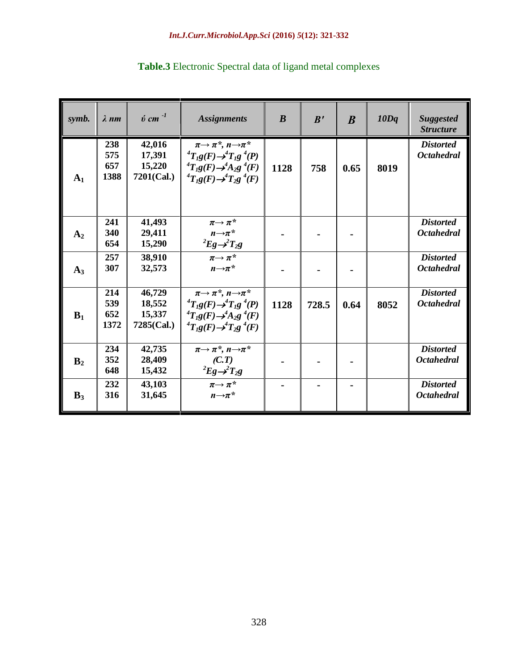| symb.          | $\lambda$ nm              | $\acute{v}$ cm $^{-1}$                      | <b>Assignments</b>                                                                                                                                                                              | $\boldsymbol{B}$ | B'    | $\boldsymbol{B}$ | 10Dq | <b>Suggested</b><br><b>Structure</b>  |
|----------------|---------------------------|---------------------------------------------|-------------------------------------------------------------------------------------------------------------------------------------------------------------------------------------------------|------------------|-------|------------------|------|---------------------------------------|
| A <sub>1</sub> | 238<br>575<br>657<br>1388 | 42,016<br>17,391<br>15,220<br>$7201$ (Cal.) | $\pi \rightarrow \pi^*$ , $n \rightarrow \pi^*$<br>${}^4T_I g(F) \rightarrow {}^4T_I g \ {}^4(P)$<br>${}^4T_1g(F) \rightarrow {}^4A_2g$ ${}^4(F)$<br>${}^4T_1g(F) \rightarrow {}^4T_2g {}^4(F)$ | 1128             | 758   | 0.65             | 8019 | <b>Distorted</b><br><b>Octahedral</b> |
| A <sub>2</sub> | 241<br>340<br>654         | 41,493<br>29,411<br>15,290                  | $\pi \rightarrow \pi^{*}$<br>$n\rightarrow \pi^*$<br>$Eg \rightarrow T_2g$                                                                                                                      |                  |       |                  |      | <b>Distorted</b><br><b>Octahedral</b> |
| $A_3$          | 257<br>307                | 38,910<br>32,573                            | $\pi \rightarrow \pi^*$<br>$n\rightarrow \pi^*$                                                                                                                                                 |                  |       |                  |      | <b>Distorted</b><br><b>Octahedral</b> |
| $B_1$          | 214<br>539<br>652<br>1372 | 46,729<br>18,552<br>15,337<br>7285(Cal.)    | $\pi \rightarrow \pi^*$ , $n \rightarrow \pi^*$<br>${}^4T_1g(F) \rightarrow {}^4T_1g$ ${}^4(P)$<br>${}^4T_1g(F) \rightarrow {}^4A_2g {}^4(F)$<br>${}^4T_1g(F) \rightarrow {}^4T_2g$ ${}^4(F)$   | 1128             | 728.5 | 0.64             | 8052 | <b>Distorted</b><br><b>Octahedral</b> |
| B <sub>2</sub> | 234<br>352<br>648         | 42,735<br>28,409<br>15,432                  | $\pi \rightarrow \pi^*$ , $n \rightarrow \pi^*$<br>(C,T)<br>$Eg \rightarrow T_2g$                                                                                                               |                  |       |                  |      | <b>Distorted</b><br><b>Octahedral</b> |
| $B_3$          | 232<br>316                | 43,103<br>31,645                            | $\pi \rightarrow \pi^*$<br>$n\rightarrow \pi^*$                                                                                                                                                 |                  |       |                  |      | <b>Distorted</b><br><b>Octahedral</b> |

# **Table.3** Electronic Spectral data of ligand metal complexes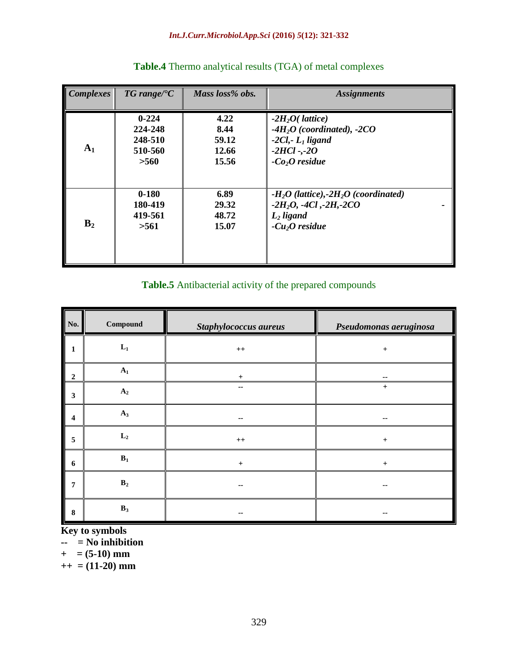#### *Int.J.Curr.Microbiol.App.Sci* **(2016)** *5***(12): 321-332**

| <b>Complexes</b> | $TG$ range/ ${}^{\circ}C$ | Mass loss% obs. | <b>Assignments</b>                                 |
|------------------|---------------------------|-----------------|----------------------------------------------------|
| $A_1$            | $0 - 224$                 | 4.22            | $-2H2O($ <i>lattice</i> )                          |
|                  | 224-248                   | 8.44            | $-4H2O$ (coordinated), $-2CO$                      |
|                  | 248-510                   | 59.12           | $-2Cl$ , $-L_1$ ligand                             |
|                  | 510-560                   | 12.66           | $-2HCl - -2O$                                      |
|                  | >560                      | 15.56           | $-Co2O$ residue                                    |
| B <sub>2</sub>   | $0 - 180$                 | 6.89            | $-H_2O$ (lattice),-2H <sub>2</sub> O (coordinated) |
|                  | 180-419                   | 29.32           | $-2H_2O$ , $-4Cl$ , $-2H$ , $-2CO$                 |
|                  | 419-561                   | 48.72           | $L2$ ligand                                        |
|                  | >561                      | 15.07           | $-Cu2O$ residue                                    |

# **Table.4** Thermo analytical results (TGA) of metal complexes

#### **Table.5** Antibacterial activity of the prepared compounds

| No.                     | $\label{subeq:compound} \textbf{Compound}$ | <b>Staphylococcus aureus</b> | Pseudomonas aeruginosa |
|-------------------------|--------------------------------------------|------------------------------|------------------------|
| $\mathbf{1}$            | $\mathbf{L}_1$                             | $^{++}$                      | $\pm$                  |
| $\overline{2}$          | $A_1$                                      | $\ddot{}$                    | --                     |
| $\mathbf{3}$            | A <sub>2</sub>                             | $-$                          | $+$                    |
| $\overline{\mathbf{4}}$ | $A_3$                                      | --                           |                        |
| $\sqrt{5}$              | $L_2$                                      | $^{\rm ++}$                  | $+$                    |
| $\boldsymbol{6}$        | $B_1$                                      | $+$                          | $+$                    |
| $\overline{7}$          | $\mathbf{B}_2$                             | $- -$                        | --                     |
| $\bf 8$                 | $B_3$                                      |                              |                        |

**Key to symbols**

**-- = No inhibition**

 $+$  = (5-10) mm

**++ = (11-20) mm**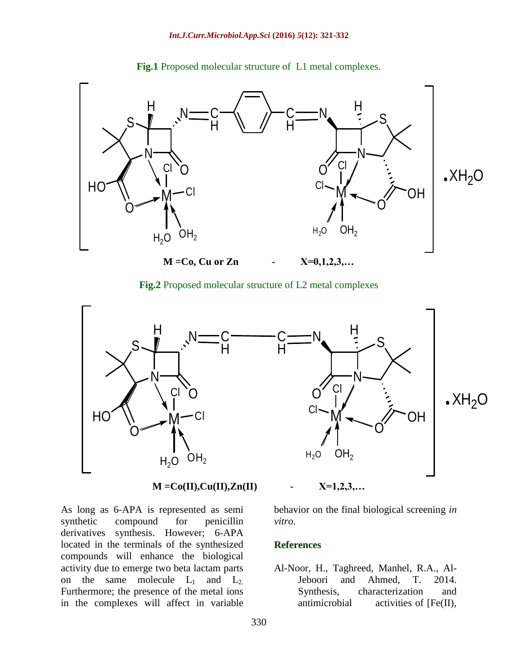

**Fig.1** Proposed molecular structure of L1 metal complexes.

**Fig.2** Proposed molecular structure of L2 metal complexes



### **M =Co(II),Cu(II),Zn(II) - X=1,2,3,…**

As long as 6-APA is represented as semi synthetic compound for penicillin derivatives synthesis. However; 6-APA located in the terminals of the synthesized compounds will enhance the biological activity due to emerge two beta lactam parts on the same molecule  $L_1$  and  $L_2$ . Furthermore; the presence of the metal ions in the complexes will affect in variable

behavior on the final biological screening *in vitro*.

#### **References**

Al-Noor, H., Taghreed, Manhel, R.A., Al-Jeboori and Ahmed, T. 2014. Synthesis, characterization and antimicrobial activities of [Fe(II),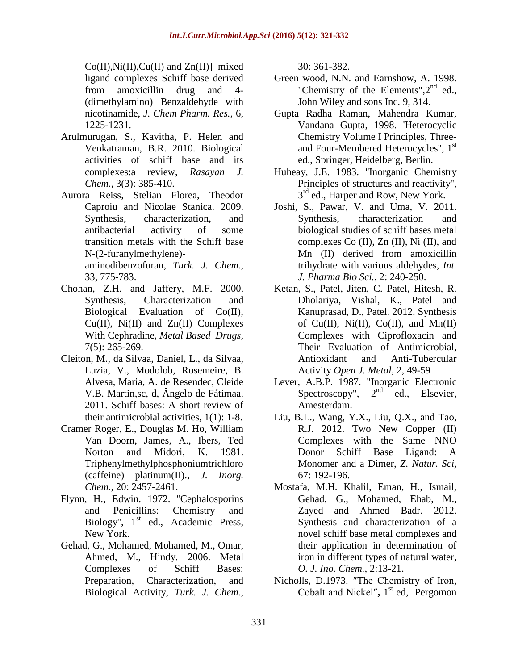$Co(II),Ni(II),Cu(II)$  and  $Zn(II)$ ] mixed ligand complexes Schiff base derived from amoxicillin drug and 4- (dimethylamino) Benzaldehyde with nicotinamide, *J. Chem Pharm. Res.*, 6, 1225-1231.

- Arulmurugan, S., Kavitha, P. Helen and Venkatraman, B.R. 2010. Biological activities of schiff base and its complexes:a review, *Rasayan J. Chem.,* 3(3): 385-410.
- Aurora Reiss, Stelian Florea, Theodor Caproiu and Nicolae Stanica. 2009. Synthesis, characterization, and antibacterial activity of some transition metals with the Schiff base N-(2-furanylmethylene) aminodibenzofuran, *Turk. J. Chem.*, 33, 775-783.
- Chohan, Z.H. and Jaffery, M.F. 2000. Synthesis, Characterization and Biological Evaluation of Co(II), Cu(II), Ni(II) and Zn(II) Complexes With Cephradine, *Metal Based Drugs,* 7(5): 265-269.
- Cleiton, M., da Silvaa, Daniel, L., da Silvaa, Luzia, V., Modolob, Rosemeire, B. Alvesa, Maria, A. de Resendec, Cleide V.B. Martin,sc, d, Ângelo de Fátimaa. 2011. Schiff bases: A short review of their antimicrobial activities, 1(1): 1-8.
- Cramer Roger, E., Douglas M. Ho, William Van Doorn, James, A., Ibers, Ted Norton and Midori, K. 1981. Triphenylmethylphosphoniumtrichloro (caffeine) platinum(II)., *J. Inorg. Chem.,* 20: 2457-2461.
- Flynn, H., Edwin. 1972. "Cephalosporins and Penicillins: Chemistry and Biology", 1<sup>st</sup> ed., Academic Press, New York.
- Gehad, G., Mohamed, Mohamed, M., Omar, Ahmed, M., Hindy. 2006. Metal Complexes of Schiff Bases: Preparation, Characterization, and Biological Activity, *Turk. J. Chem.*,

30: 361-382.

- Green wood, N.N. and Earnshow, A. 1998. "Chemistry of the Elements", 2<sup>nd</sup> ed., John Wiley and sons Inc. 9, 314.
- Gupta Radha Raman, Mahendra Kumar, Vandana Gupta, 1998. 'Heterocyclic Chemistry Volume I Principles, Threeand Four-Membered Heterocycles'', 1 st ed., Springer, Heidelberg, Berlin.
- Huheay, J.E. 1983. ''Inorganic Chemistry Principles of structures and reactivity'', 3<sup>rd</sup> ed., Harper and Row, New York.
- Joshi, S., Pawar, V. and Uma, V. 2011. Synthesis, characterization and biological studies of schiff bases metal complexes Co (II), Zn (II), Ni (II), and Mn (II) derived from amoxicillin trihydrate with various aldehydes, *Int. J. Pharma Bio Sci.*, 2: 240-250.
- Ketan, S., Patel, Jiten, C. Patel, Hitesh, R. Dholariya, Vishal, K., Patel and Kanuprasad, D., Patel. 2012. Synthesis of Cu(II), Ni(II), Co(II), and Mn(II) Complexes with Ciprofloxacin and Their Evaluation of Antimicrobial, Antioxidant and Anti-Tubercular Activity *Open J. Metal*, 2, 49-59
- Lever, A.B.P. 1987. "Inorganic Electronic Spectroscopy",  $2<sup>nd</sup>$  ed., Elsevier, Amesterdam.
- Liu, B.L., Wang, Y.X., Liu, Q.X., and Tao, R.J. 2012. Two New Copper (II) Complexes with the Same NNO Donor Schiff Base Ligand: A Monomer and a Dimer, *Z. Natur. Sci,* 67: 192-196.
- Mostafa, M.H. Khalil, Eman, H., Ismail, Gehad, G., Mohamed, Ehab, M., Zayed and Ahmed Badr. 2012. Synthesis and characterization of a novel schiff base metal complexes and their application in determination of iron in different types of natural water, *O. J. Ino. Chem.,* 2:13-21.
- Nicholls, D.1973. ″The Chemistry of Iron, Cobalt and Nickel″**,** 1 st ed, Pergomon